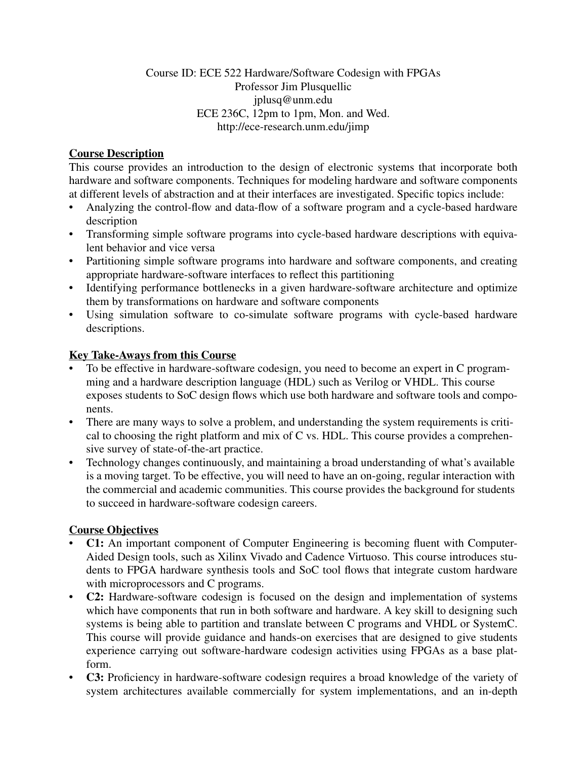## Course ID: ECE 522 Hardware/Software Codesign with FPGAs Professor Jim Plusquellic jplusq@unm.edu ECE 236C, 12pm to 1pm, Mon. and Wed. http://ece-research.unm.edu/jimp

## **Course Description**

This course provides an introduction to the design of electronic systems that incorporate both hardware and software components. Techniques for modeling hardware and software components at different levels of abstraction and at their interfaces are investigated. Specific topics include:

- Analyzing the control-flow and data-flow of a software program and a cycle-based hardware description
- Transforming simple software programs into cycle-based hardware descriptions with equivalent behavior and vice versa
- Partitioning simple software programs into hardware and software components, and creating appropriate hardware-software interfaces to reflect this partitioning
- Identifying performance bottlenecks in a given hardware-software architecture and optimize them by transformations on hardware and software components
- Using simulation software to co-simulate software programs with cycle-based hardware descriptions.

## **Key Take-Aways from this Course**

- To be effective in hardware-software codesign, you need to become an expert in C programming and a hardware description language (HDL) such as Verilog or VHDL. This course exposes students to SoC design flows which use both hardware and software tools and components.
- There are many ways to solve a problem, and understanding the system requirements is critical to choosing the right platform and mix of C vs. HDL. This course provides a comprehensive survey of state-of-the-art practice.
- Technology changes continuously, and maintaining a broad understanding of what's available is a moving target. To be effective, you will need to have an on-going, regular interaction with the commercial and academic communities. This course provides the background for students to succeed in hardware-software codesign careers.

## **Course Objectives**

- **C1:** An important component of Computer Engineering is becoming fluent with Computer-Aided Design tools, such as Xilinx Vivado and Cadence Virtuoso. This course introduces students to FPGA hardware synthesis tools and SoC tool flows that integrate custom hardware with microprocessors and C programs.
- **C2:** Hardware-software codesign is focused on the design and implementation of systems which have components that run in both software and hardware. A key skill to designing such systems is being able to partition and translate between C programs and VHDL or SystemC. This course will provide guidance and hands-on exercises that are designed to give students experience carrying out software-hardware codesign activities using FPGAs as a base platform.
- **C3:** Proficiency in hardware-software codesign requires a broad knowledge of the variety of system architectures available commercially for system implementations, and an in-depth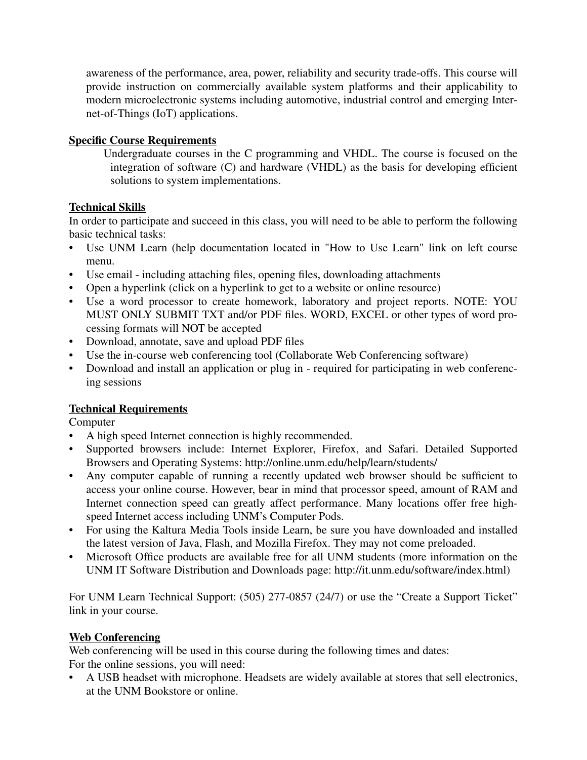awareness of the performance, area, power, reliability and security trade-offs. This course will provide instruction on commercially available system platforms and their applicability to modern microelectronic systems including automotive, industrial control and emerging Internet-of-Things (IoT) applications.

## **Specific Course Requirements**

Undergraduate courses in the C programming and VHDL. The course is focused on the integration of software (C) and hardware (VHDL) as the basis for developing efficient solutions to system implementations.

## **Technical Skills**

In order to participate and succeed in this class, you will need to be able to perform the following basic technical tasks:

- Use UNM Learn (help documentation located in "How to Use Learn" link on left course menu.
- Use email including attaching files, opening files, downloading attachments
- Open a hyperlink (click on a hyperlink to get to a website or online resource)
- Use a word processor to create homework, laboratory and project reports. NOTE: YOU MUST ONLY SUBMIT TXT and/or PDF files. WORD, EXCEL or other types of word processing formats will NOT be accepted
- Download, annotate, save and upload PDF files
- Use the in-course web conferencing tool (Collaborate Web Conferencing software)
- Download and install an application or plug in required for participating in web conferencing sessions

## **Technical Requirements**

Computer

- A high speed Internet connection is highly recommended.
- Supported browsers include: Internet Explorer, Firefox, and Safari. Detailed Supported Browsers and Operating Systems: http://online.unm.edu/help/learn/students/
- Any computer capable of running a recently updated web browser should be sufficient to access your online course. However, bear in mind that processor speed, amount of RAM and Internet connection speed can greatly affect performance. Many locations offer free highspeed Internet access including UNM's Computer Pods.
- For using the Kaltura Media Tools inside Learn, be sure you have downloaded and installed the latest version of Java, Flash, and Mozilla Firefox. They may not come preloaded.
- Microsoft Office products are available free for all UNM students (more information on the UNM IT Software Distribution and Downloads page: http://it.unm.edu/software/index.html)

For UNM Learn Technical Support: (505) 277-0857 (24/7) or use the "Create a Support Ticket" link in your course.

## **Web Conferencing**

Web conferencing will be used in this course during the following times and dates: For the online sessions, you will need:

• A USB headset with microphone. Headsets are widely available at stores that sell electronics, at the UNM Bookstore or online.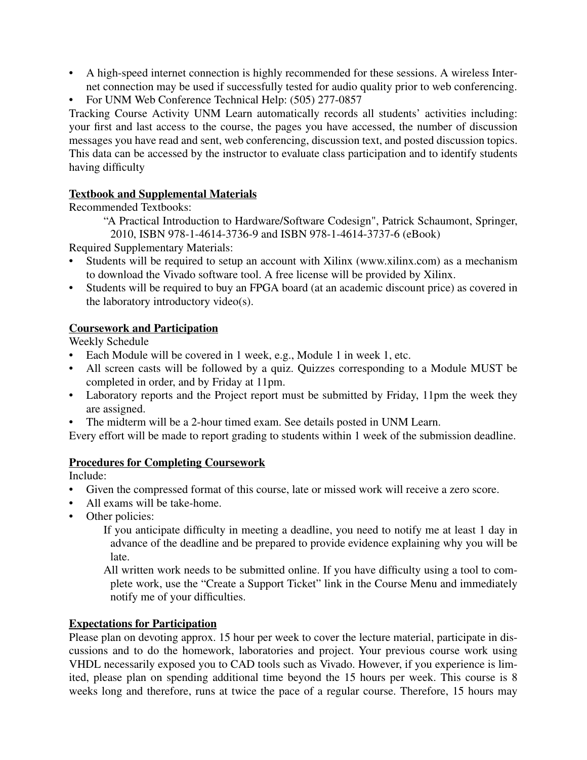- A high-speed internet connection is highly recommended for these sessions. A wireless Internet connection may be used if successfully tested for audio quality prior to web conferencing.
- For UNM Web Conference Technical Help: (505) 277-0857

Tracking Course Activity UNM Learn automatically records all students' activities including: your first and last access to the course, the pages you have accessed, the number of discussion messages you have read and sent, web conferencing, discussion text, and posted discussion topics. This data can be accessed by the instructor to evaluate class participation and to identify students having difficulty

## **Textbook and Supplemental Materials**

Recommended Textbooks:

"A Practical Introduction to Hardware/Software Codesign", Patrick Schaumont, Springer, 2010, ISBN 978-1-4614-3736-9 and ISBN 978-1-4614-3737-6 (eBook)

Required Supplementary Materials:

- Students will be required to setup an account with Xilinx (www.xilinx.com) as a mechanism to download the Vivado software tool. A free license will be provided by Xilinx.
- Students will be required to buy an FPGA board (at an academic discount price) as covered in the laboratory introductory video(s).

## **Coursework and Participation**

Weekly Schedule

- Each Module will be covered in 1 week, e.g., Module 1 in week 1, etc.
- All screen casts will be followed by a quiz. Quizzes corresponding to a Module MUST be completed in order, and by Friday at 11pm.
- Laboratory reports and the Project report must be submitted by Friday, 11pm the week they are assigned.
- The midterm will be a 2-hour timed exam. See details posted in UNM Learn.

Every effort will be made to report grading to students within 1 week of the submission deadline.

## **Procedures for Completing Coursework**

Include:

- Given the compressed format of this course, late or missed work will receive a zero score.
- All exams will be take-home.
- Other policies:

If you anticipate difficulty in meeting a deadline, you need to notify me at least 1 day in advance of the deadline and be prepared to provide evidence explaining why you will be late.

All written work needs to be submitted online. If you have difficulty using a tool to complete work, use the "Create a Support Ticket" link in the Course Menu and immediately notify me of your difficulties.

## **Expectations for Participation**

Please plan on devoting approx. 15 hour per week to cover the lecture material, participate in discussions and to do the homework, laboratories and project. Your previous course work using VHDL necessarily exposed you to CAD tools such as Vivado. However, if you experience is limited, please plan on spending additional time beyond the 15 hours per week. This course is 8 weeks long and therefore, runs at twice the pace of a regular course. Therefore, 15 hours may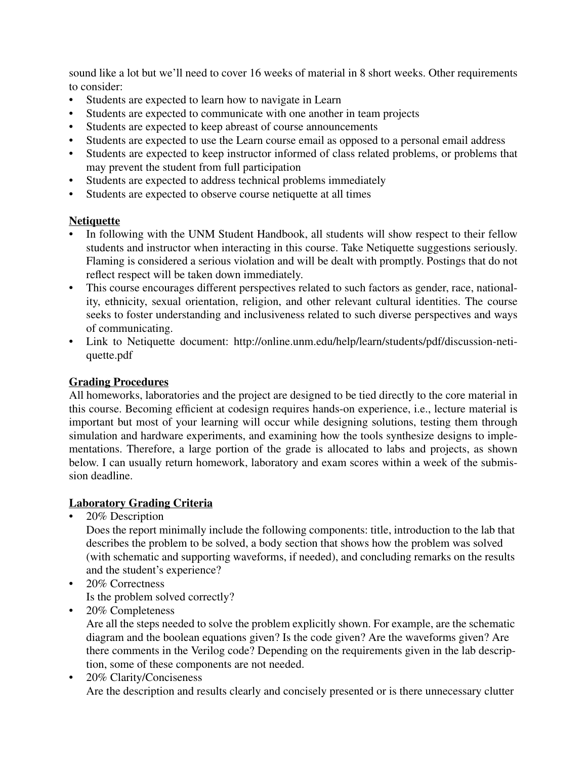sound like a lot but we'll need to cover 16 weeks of material in 8 short weeks. Other requirements to consider:

- Students are expected to learn how to navigate in Learn
- Students are expected to communicate with one another in team projects
- Students are expected to keep abreast of course announcements
- Students are expected to use the Learn course email as opposed to a personal email address
- Students are expected to keep instructor informed of class related problems, or problems that may prevent the student from full participation
- Students are expected to address technical problems immediately
- Students are expected to observe course netiquette at all times

## **Netiquette**

- In following with the UNM Student Handbook, all students will show respect to their fellow students and instructor when interacting in this course. Take Netiquette suggestions seriously. Flaming is considered a serious violation and will be dealt with promptly. Postings that do not reflect respect will be taken down immediately.
- This course encourages different perspectives related to such factors as gender, race, nationality, ethnicity, sexual orientation, religion, and other relevant cultural identities. The course seeks to foster understanding and inclusiveness related to such diverse perspectives and ways of communicating.
- Link to Netiquette document: http://online.unm.edu/help/learn/students/pdf/discussion-netiquette.pdf

## **Grading Procedures**

All homeworks, laboratories and the project are designed to be tied directly to the core material in this course. Becoming efficient at codesign requires hands-on experience, i.e., lecture material is important but most of your learning will occur while designing solutions, testing them through simulation and hardware experiments, and examining how the tools synthesize designs to implementations. Therefore, a large portion of the grade is allocated to labs and projects, as shown below. I can usually return homework, laboratory and exam scores within a week of the submission deadline.

## **Laboratory Grading Criteria**

• 20% Description

Does the report minimally include the following components: title, introduction to the lab that describes the problem to be solved, a body section that shows how the problem was solved (with schematic and supporting waveforms, if needed), and concluding remarks on the results and the student's experience?

- 20% Correctness Is the problem solved correctly?
- 20% Completeness

Are all the steps needed to solve the problem explicitly shown. For example, are the schematic diagram and the boolean equations given? Is the code given? Are the waveforms given? Are there comments in the Verilog code? Depending on the requirements given in the lab description, some of these components are not needed.

• 20% Clarity/Conciseness Are the description and results clearly and concisely presented or is there unnecessary clutter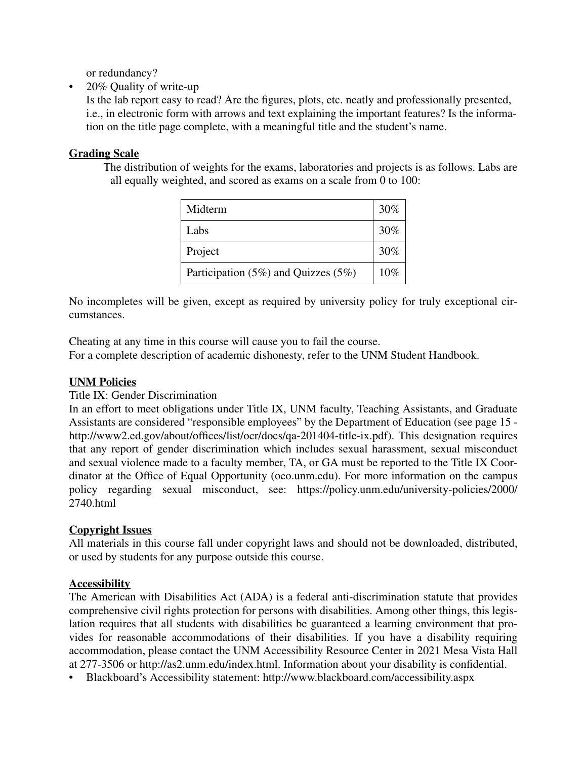or redundancy?

• 20% Quality of write-up

Is the lab report easy to read? Are the figures, plots, etc. neatly and professionally presented, i.e., in electronic form with arrows and text explaining the important features? Is the information on the title page complete, with a meaningful title and the student's name.

## **Grading Scale**

The distribution of weights for the exams, laboratories and projects is as follows. Labs are all equally weighted, and scored as exams on a scale from 0 to 100:

| Midterm                                   | 30% |
|-------------------------------------------|-----|
| Labs                                      | 30% |
| Project                                   | 30% |
| Participation $(5\%)$ and Quizzes $(5\%)$ | 10% |

No incompletes will be given, except as required by university policy for truly exceptional circumstances.

Cheating at any time in this course will cause you to fail the course. For a complete description of academic dishonesty, refer to the UNM Student Handbook.

## **UNM Policies**

## Title IX: Gender Discrimination

In an effort to meet obligations under Title IX, UNM faculty, Teaching Assistants, and Graduate Assistants are considered "responsible employees" by the Department of Education (see page 15 http://www2.ed.gov/about/offices/list/ocr/docs/qa-201404-title-ix.pdf). This designation requires that any report of gender discrimination which includes sexual harassment, sexual misconduct and sexual violence made to a faculty member, TA, or GA must be reported to the Title IX Coordinator at the Office of Equal Opportunity (oeo.unm.edu). For more information on the campus policy regarding sexual misconduct, see: https://policy.unm.edu/university-policies/2000/ 2740.html

## **Copyright Issues**

All materials in this course fall under copyright laws and should not be downloaded, distributed, or used by students for any purpose outside this course.

## **Accessibility**

The American with Disabilities Act (ADA) is a federal anti-discrimination statute that provides comprehensive civil rights protection for persons with disabilities. Among other things, this legislation requires that all students with disabilities be guaranteed a learning environment that provides for reasonable accommodations of their disabilities. If you have a disability requiring accommodation, please contact the UNM Accessibility Resource Center in 2021 Mesa Vista Hall at 277-3506 or http://as2.unm.edu/index.html. Information about your disability is confidential.

• Blackboard's Accessibility statement: http://www.blackboard.com/accessibility.aspx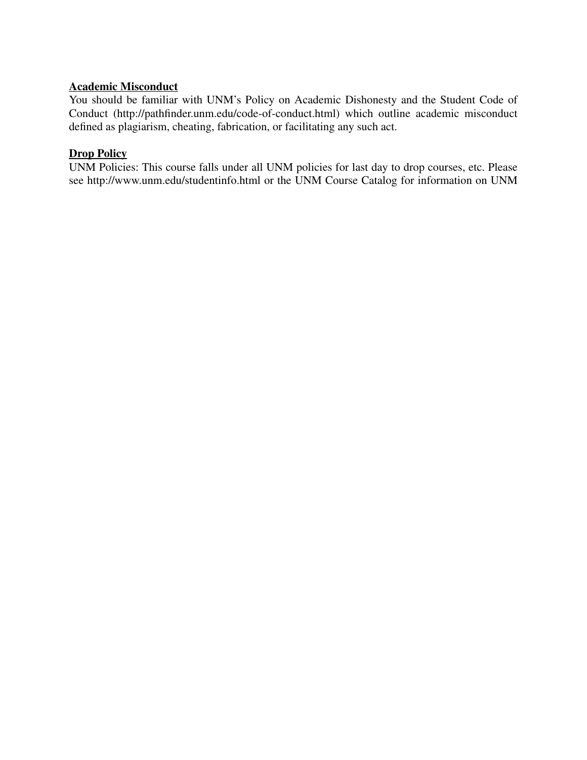## **Academic Misconduct**

You should be familiar with UNM's Policy on Academic Dishonesty and the Student Code of Conduct (http://pathfinder.unm.edu/code-of-conduct.html) which outline academic misconduct defined as plagiarism, cheating, fabrication, or facilitating any such act.

# **Drop Policy**

UNM Policies: This course falls under all UNM policies for last day to drop courses, etc. Please see http://www.unm.edu/studentinfo.html or the UNM Course Catalog for information on UNM